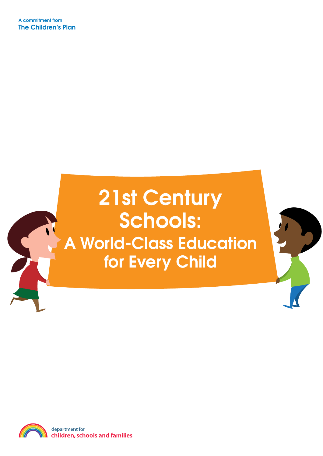A commitment from The Children's Plan

# 21st Century Schools: A World-Class Education for Every Child

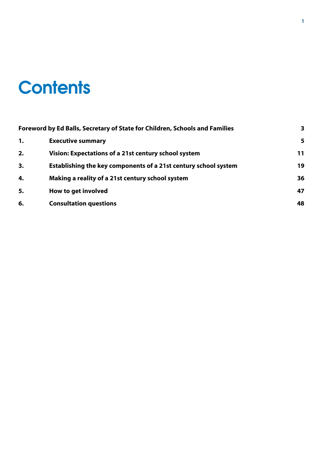## **Contents**

| Foreword by Ed Balls, Secretary of State for Children, Schools and Families |                                                                 |    |
|-----------------------------------------------------------------------------|-----------------------------------------------------------------|----|
| 1.                                                                          | <b>Executive summary</b>                                        | 5  |
| 2.                                                                          | Vision: Expectations of a 21st century school system            | 11 |
| 3.                                                                          | Establishing the key components of a 21st century school system | 19 |
| 4.                                                                          | Making a reality of a 21st century school system                | 36 |
| 5.                                                                          | How to get involved                                             | 47 |
| 6.                                                                          | <b>Consultation questions</b>                                   | 48 |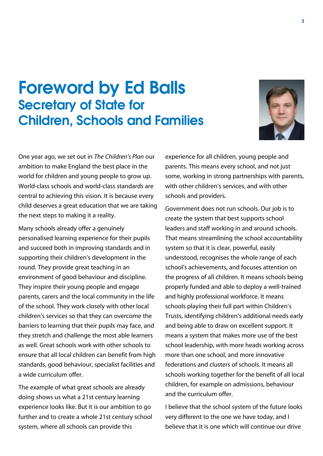## Foreword by Ed Balls Secretary of State for Children, Schools and Families



One year ago, we set out in *The Children's Plan* our ambition to make England the best place in the world for children and young people to grow up. World-class schools and world-class standards are central to achieving this vision. It is because every child deserves a great education that we are taking the next steps to making it a reality.

Many schools already offer a genuinely personalised learning experience for their pupils and succeed both in improving standards and in supporting their children's development in the round. They provide great teaching in an environment of good behaviour and discipline. They inspire their young people and engage parents, carers and the local community in the life of the school. They work closely with other local children's services so that they can overcome the barriers to learning that their pupils may face, and they stretch and challenge the most able learners as well. Great schools work with other schools to ensure that all local children can benefit from high standards, good behaviour, specialist facilities and a wide curriculum offer.

The example of what great schools are already doing shows us what a 21st century learning experience looks like. But it is our ambition to go further and to create a whole 21st century school system, where all schools can provide this

experience for all children, young people and parents. This means every school, and not just some, working in strong partnerships with parents, with other children's services, and with other schools and providers.

Government does not run schools. Our job is to create the system that best supports school leaders and staff working in and around schools. That means streamlining the school accountability system so that it is clear, powerful, easily understood, recognises the whole range of each school's achievements, and focuses attention on the progress of all children. It means schools being properly funded and able to deploy a well-trained and highly professional workforce. It means schools playing their full part within Children's Trusts, identifying children's additional needs early and being able to draw on excellent support. It means a system that makes more use of the best school leadership, with more heads working across more than one school, and more innovative federations and clusters of schools. It means all schools working together for the benefit of all local children, for example on admissions, behaviour and the curriculum offer.

I believe that the school system of the future looks very different to the one we have today, and I believe that it is one which will continue our drive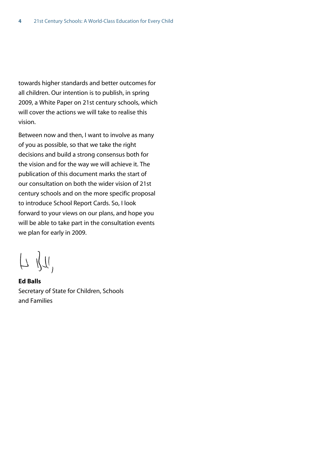towards higher standards and better outcomes for all children. Our intention is to publish, in spring 2009, a White Paper on 21st century schools, which will cover the actions we will take to realise this vision.

Between now and then, I want to involve as many of you as possible, so that we take the right decisions and build a strong consensus both for the vision and for the way we will achieve it. The publication of this document marks the start of our consultation on both the wider vision of 21st century schools and on the more specific proposal to introduce School Report Cards. So, I look forward to your views on our plans, and hope you will be able to take part in the consultation events we plan for early in 2009.

 $U\parallel L$ 

**Ed Balls**  Secretary of State for Children, Schools and Families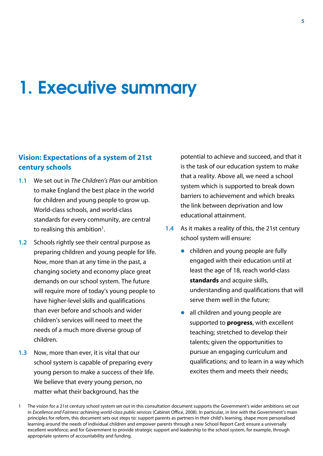## 1. Executive summary

### **Vision: Expectations of a system of 21st century schools**

- **1.1** We set out in *The Children's Plan* our ambition to make England the best place in the world for children and young people to grow up. World-class schools, and world-class standards for every community, are central to realising this ambition<sup>1</sup>.
- **1.2** Schools rightly see their central purpose as preparing children and young people for life. Now, more than at any time in the past, a changing society and economy place great demands on our school system. The future will require more of today's young people to have higher-level skills and qualifications than ever before and schools and wider children's services will need to meet the needs of a much more diverse group of children.
- **1.3** Now, more than ever, it is vital that our school system is capable of preparing every young person to make a success of their life. We believe that every young person, no matter what their background, has the

potential to achieve and succeed, and that it is the task of our education system to make that a reality. Above all, we need a school system which is supported to break down barriers to achievement and which breaks the link between deprivation and low educational attainment.

- **1.4** As it makes a reality of this, the 21st century school system will ensure:
	- $\bullet$  children and young people are fully engaged with their education until at least the age of 18, reach world-class **standards** and acquire skills, understanding and qualifications that will serve them well in the future;
	- $\bullet$  all children and young people are supported to **progress**, with excellent teaching; stretched to develop their talents; given the opportunities to pursue an engaging curriculum and qualifications; and to learn in a way which excites them and meets their needs;

<sup>1</sup> The vision for a 21st century school system set out in this consultation document supports the Government's wider ambitions set out in *Excellence and Fairness: achieving world-class public services* (Cabinet Office, 2008). In particular, in line with the Government's main principles for reform, this document sets out steps to: support parents as partners in their child's learning, shape more personalised learning around the needs of individual children and empower parents through a new School Report Card; ensure a universally excellent workforce; and for Government to provide strategic support and leadership to the school system, for example, through appropriate systems of accountability and funding.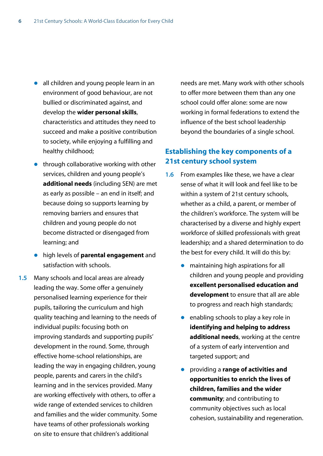- $\bullet$  all children and young people learn in an environment of good behaviour, are not bullied or discriminated against, and develop the **wider personal skills**, characteristics and attitudes they need to succeed and make a positive contribution to society, while enjoying a fulfilling and healthy childhood;
- $\bullet$  through collaborative working with other services, children and young people's **additional needs** (including SEN) are met as early as possible – an end in itself; and because doing so supports learning by removing barriers and ensures that children and young people do not become distracted or disengaged from learning; and
- **•** high levels of **parental engagement** and satisfaction with schools.
- **1.5** Many schools and local areas are already leading the way. Some offer a genuinely personalised learning experience for their pupils, tailoring the curriculum and high quality teaching and learning to the needs of individual pupils: focusing both on improving standards and supporting pupils' development in the round. Some, through effective home-school relationships, are leading the way in engaging children, young people, parents and carers in the child's learning and in the services provided. Many are working effectively with others, to offer a wide range of extended services to children and families and the wider community. Some have teams of other professionals working on site to ensure that children's additional

needs are met. Many work with other schools to offer more between them than any one school could offer alone: some are now working in formal federations to extend the influence of the best school leadership beyond the boundaries of a single school.

#### **Establishing the key components of a 21st century school system**

- **1.6** From examples like these, we have a clear sense of what it will look and feel like to be within a system of 21st century schools, whether as a child, a parent, or member of the children's workforce. The system will be characterised by a diverse and highly expert workforce of skilled professionals with great leadership; and a shared determination to do the best for every child. It will do this by:
	- $\bullet$  maintaining high aspirations for all children and young people and providing **excellent personalised education and development** to ensure that all are able to progress and reach high standards;
	- $\bullet$  enabling schools to play a key role in **identifying and helping to address additional needs**, working at the centre of a system of early intervention and targeted support; and
	- **•** providing a **range of activities and opportunities to enrich the lives of children, families and the wider community**; and contributing to community objectives such as local cohesion, sustainability and regeneration.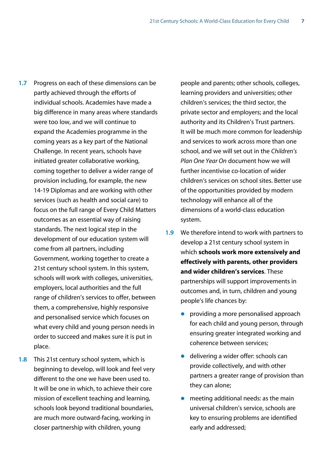- **1.7** Progress on each of these dimensions can be partly achieved through the efforts of individual schools. Academies have made a big difference in many areas where standards were too low, and we will continue to expand the Academies programme in the coming years as a key part of the National Challenge. In recent years, schools have initiated greater collaborative working, coming together to deliver a wider range of provision including, for example, the new 14-19 Diplomas and are working with other services (such as health and social care) to focus on the full range of Every Child Matters outcomes as an essential way of raising standards. The next logical step in the development of our education system will come from all partners, including Government, working together to create a 21st century school system. In this system, schools will work with colleges, universities, employers, local authorities and the full range of children's services to offer, between them, a comprehensive, highly responsive and personalised service which focuses on what every child and young person needs in order to succeed and makes sure it is put in place.
- **1.8** This 21st century school system, which is beginning to develop, will look and feel very different to the one we have been used to. It will be one in which, to achieve their core mission of excellent teaching and learning, schools look beyond traditional boundaries, are much more outward-facing, working in closer partnership with children, young

people and parents; other schools, colleges, learning providers and universities; other children's services; the third sector, the private sector and employers; and the local authority and its Children's Trust partners. It will be much more common for leadership and services to work across more than one school, and we will set out in the *Children's Plan One Year On* document how we will further incentivise co-location of wider children's services on school sites. Better use of the opportunities provided by modern technology will enhance all of the dimensions of a world-class education system.

- **1.9** We therefore intend to work with partners to develop a 21st century school system in which **schools work more extensively and effectively with parents, other providers and wider children's services**. These partnerships will support improvements in outcomes and, in turn, children and young people's life chances by:
	- providing a more personalised approach for each child and young person, through ensuring greater integrated working and coherence between services;
	- $\bullet$  delivering a wider offer: schools can provide collectively, and with other partners a greater range of provision than they can alone;
	- $\bullet$  meeting additional needs: as the main universal children's service, schools are key to ensuring problems are identified early and addressed;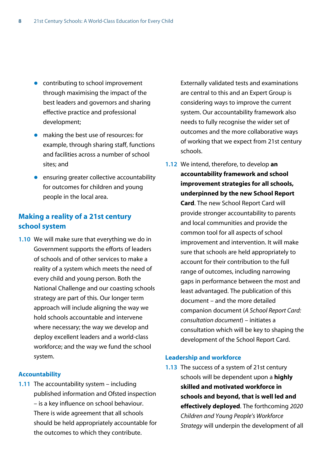- $\bullet$  contributing to school improvement through maximising the impact of the best leaders and governors and sharing effective practice and professional development;
- $\bullet$  making the best use of resources: for example, through sharing staff, functions and facilities across a number of school sites; and
- $\bullet$  ensuring greater collective accountability for outcomes for children and young people in the local area.

### **Making a reality of a 21st century school system**

**1.10** We will make sure that everything we do in Government supports the efforts of leaders of schools and of other services to make a reality of a system which meets the need of every child and young person. Both the National Challenge and our coasting schools strategy are part of this. Our longer term approach will include aligning the way we hold schools accountable and intervene where necessary; the way we develop and deploy excellent leaders and a world-class workforce; and the way we fund the school system.

#### **Accountability**

**1.11** The accountability system – including published information and Ofsted inspection – is a key influence on school behaviour. There is wide agreement that all schools should be held appropriately accountable for the outcomes to which they contribute.

Externally validated tests and examinations are central to this and an Expert Group is considering ways to improve the current system. Our accountability framework also needs to fully recognise the wider set of outcomes and the more collaborative ways of working that we expect from 21st century schools.

**1.12** We intend, therefore, to develop **an accountability framework and school improvement strategies for all schools, underpinned by the new School Report Card**. The new School Report Card will provide stronger accountability to parents and local communities and provide the common tool for all aspects of school improvement and intervention. It will make sure that schools are held appropriately to account for their contribution to the full range of outcomes, including narrowing gaps in performance between the most and least advantaged. The publication of this document – and the more detailed companion document (*A School Report Card: consultation document*) – initiates a consultation which will be key to shaping the development of the School Report Card.

#### **Leadership and workforce**

**1.13** The success of a system of 21st century schools will be dependent upon a **highly skilled and motivated workforce in schools and beyond, that is well led and effectively deployed**. The forthcoming *2020 Children and Young People's Workforce Strategy* will underpin the development of all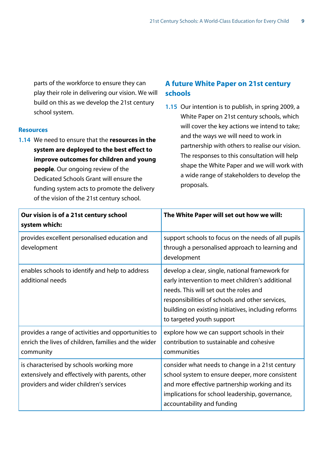parts of the workforce to ensure they can play their role in delivering our vision. We will build on this as we develop the 21st century school system.

#### **Resources**

**1.14** We need to ensure that the **resources in the system are deployed to the best effect to improve outcomes for children and young people**. Our ongoing review of the Dedicated Schools Grant will ensure the funding system acts to promote the delivery of the vision of the 21st century school.

### **A future White Paper on 21st century schools**

**1.15** Our intention is to publish, in spring 2009, a White Paper on 21st century schools, which will cover the key actions we intend to take; and the ways we will need to work in partnership with others to realise our vision. The responses to this consultation will help shape the White Paper and we will work with a wide range of stakeholders to develop the proposals.

| Our vision is of a 21st century school<br>system which:                                                                                | The White Paper will set out how we will:                                                                                                                                                                                                                                            |
|----------------------------------------------------------------------------------------------------------------------------------------|--------------------------------------------------------------------------------------------------------------------------------------------------------------------------------------------------------------------------------------------------------------------------------------|
| provides excellent personalised education and<br>development                                                                           | support schools to focus on the needs of all pupils<br>through a personalised approach to learning and<br>development                                                                                                                                                                |
| enables schools to identify and help to address<br>additional needs                                                                    | develop a clear, single, national framework for<br>early intervention to meet children's additional<br>needs. This will set out the roles and<br>responsibilities of schools and other services,<br>building on existing initiatives, including reforms<br>to targeted youth support |
| provides a range of activities and opportunities to<br>enrich the lives of children, families and the wider<br>community               | explore how we can support schools in their<br>contribution to sustainable and cohesive<br>communities                                                                                                                                                                               |
| is characterised by schools working more<br>extensively and effectively with parents, other<br>providers and wider children's services | consider what needs to change in a 21st century<br>school system to ensure deeper, more consistent<br>and more effective partnership working and its<br>implications for school leadership, governance,<br>accountability and funding                                                |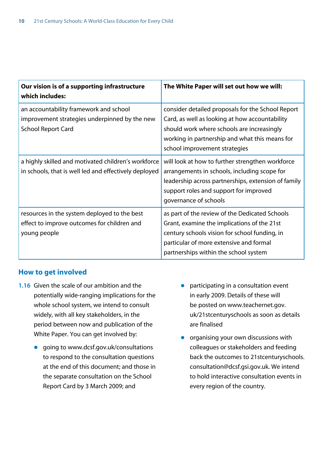| Our vision is of a supporting infrastructure<br>which includes:                                                      | The White Paper will set out how we will:                                                                                                                                                                                            |
|----------------------------------------------------------------------------------------------------------------------|--------------------------------------------------------------------------------------------------------------------------------------------------------------------------------------------------------------------------------------|
| an accountability framework and school<br>improvement strategies underpinned by the new<br><b>School Report Card</b> | consider detailed proposals for the School Report<br>Card, as well as looking at how accountability<br>should work where schools are increasingly<br>working in partnership and what this means for<br>school improvement strategies |
| a highly skilled and motivated children's workforce<br>in schools, that is well led and effectively deployed         | will look at how to further strengthen workforce<br>arrangements in schools, including scope for<br>leadership across partnerships, extension of family<br>support roles and support for improved<br>governance of schools           |
| resources in the system deployed to the best<br>effect to improve outcomes for children and<br>young people          | as part of the review of the Dedicated Schools<br>Grant, examine the implications of the 21st<br>century schools vision for school funding, in<br>particular of more extensive and formal<br>partnerships within the school system   |

## **How to get involved**

- **1.16** Given the scale of our ambition and the potentially wide-ranging implications for the whole school system, we intend to consult widely, with all key stakeholders, in the period between now and publication of the White Paper. You can get involved by:
	- $\bullet$  going to www.dcsf.gov.uk/consultations to respond to the consultation questions at the end of this document; and those in the separate consultation on the School Report Card by 3 March 2009; and
- $\bullet$  participating in a consultation event in early 2009. Details of these will be posted on www.teachernet.gov. uk/21stcenturyschools as soon as details are finalised
- $\bullet$  organising your own discussions with colleagues or stakeholders and feeding back the outcomes to 21stcenturyschools. consultation@dcsf.gsi.gov.uk. We intend to hold interactive consultation events in every region of the country.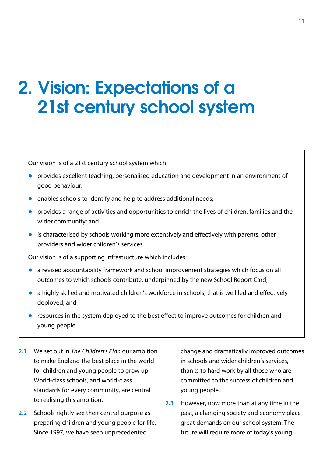## 2. Vision: Expectations of a 21st century school system

Our vision is of a 21st century school system which:

- **•** provides excellent teaching, personalised education and development in an environment of good behaviour;
- $\bullet$  enables schools to identify and help to address additional needs;
- **•** provides a range of activities and opportunities to enrich the lives of children, families and the wider community; and
- $\bullet$  is characterised by schools working more extensively and effectively with parents, other providers and wider children's services.

Our vision is of a supporting infrastructure which includes:

- a revised accountability framework and school improvement strategies which focus on all outcomes to which schools contribute, underpinned by the new School Report Card;
- a highly skilled and motivated children's workforce in schools, that is well led and effectively deployed; and
- resources in the system deployed to the best effect to improve outcomes for children and young people.
- **2.1** We set out in *The Children's Plan* our ambition to make England the best place in the world for children and young people to grow up. World-class schools, and world-class standards for every community, are central to realising this ambition.
- **2.2** Schools rightly see their central purpose as preparing children and young people for life. Since 1997, we have seen unprecedented

change and dramatically improved outcomes in schools and wider children's services, thanks to hard work by all those who are committed to the success of children and young people.

**2.3** However, now more than at any time in the past, a changing society and economy place great demands on our school system. The future will require more of today's young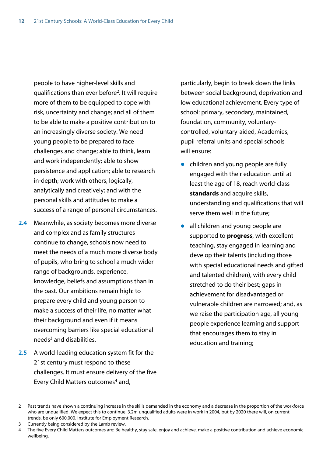people to have higher-level skills and qualifications than ever before2. It will require more of them to be equipped to cope with risk, uncertainty and change; and all of them to be able to make a positive contribution to an increasingly diverse society. We need young people to be prepared to face challenges and change; able to think, learn and work independently; able to show persistence and application; able to research in-depth; work with others, logically, analytically and creatively; and with the personal skills and attitudes to make a success of a range of personal circumstances.

- **2.4** Meanwhile, as society becomes more diverse and complex and as family structures continue to change, schools now need to meet the needs of a much more diverse body of pupils, who bring to school a much wider range of backgrounds, experience, knowledge, beliefs and assumptions than in the past. Our ambitions remain high: to prepare every child and young person to make a success of their life, no matter what their background and even if it means overcoming barriers like special educational needs3 and disabilities.
- **2.5** A world-leading education system fit for the 21st century must respond to these challenges. It must ensure delivery of the five Every Child Matters outcomes<sup>4</sup> and,

particularly, begin to break down the links between social background, deprivation and low educational achievement. Every type of school: primary, secondary, maintained, foundation, community, voluntarycontrolled, voluntary-aided, Academies, pupil referral units and special schools will ensure:

- $\bullet$  children and young people are fully engaged with their education until at least the age of 18, reach world-class **standards** and acquire skills, understanding and qualifications that will serve them well in the future;
- $\bullet$  all children and young people are supported to **progress**, with excellent teaching, stay engaged in learning and develop their talents (including those with special educational needs and gifted and talented children), with every child stretched to do their best; gaps in achievement for disadvantaged or vulnerable children are narrowed; and, as we raise the participation age, all young people experience learning and support that encourages them to stay in education and training;

3 Currently being considered by the Lamb review.

<sup>2</sup> Past trends have shown a continuing increase in the skills demanded in the economy and a decrease in the proportion of the workforce who are unqualified. We expect this to continue. 3.2m unqualified adults were in work in 2004, but by 2020 there will, on current trends, be only 600,000. Institute for Employment Research.

<sup>4</sup> The five Every Child Matters outcomes are: Be healthy, stay safe, enjoy and achieve, make a positive contribution and achieve economic wellbeing.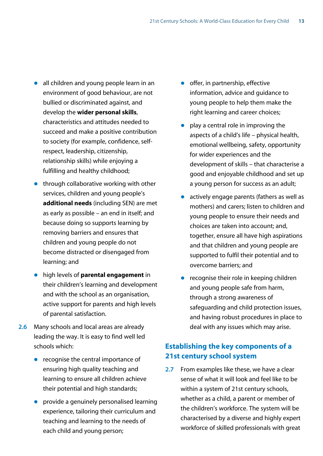- $\bullet$  all children and young people learn in an environment of good behaviour, are not bullied or discriminated against, and develop the **wider personal skills**, characteristics and attitudes needed to succeed and make a positive contribution to society (for example, confidence, selfrespect, leadership, citizenship, relationship skills) while enjoying a fulfilling and healthy childhood;
- $\bullet$  through collaborative working with other services, children and young people's **additional needs** (including SEN) are met as early as possible – an end in itself; and because doing so supports learning by removing barriers and ensures that children and young people do not become distracted or disengaged from learning; and
- **•** high levels of **parental engagement** in their children's learning and development and with the school as an organisation, active support for parents and high levels of parental satisfaction.
- **2.6** Many schools and local areas are already leading the way. It is easy to find well led schools which:
	- $\bullet$  recognise the central importance of ensuring high quality teaching and learning to ensure all children achieve their potential and high standards;
	- $\bullet$  provide a genuinely personalised learning experience, tailoring their curriculum and teaching and learning to the needs of each child and young person;
- $\bullet$  offer, in partnership, effective information, advice and guidance to young people to help them make the right learning and career choices;
- $\bullet$  play a central role in improving the aspects of a child's life – physical health, emotional wellbeing, safety, opportunity for wider experiences and the development of skills – that characterise a good and enjoyable childhood and set up a young person for success as an adult;
- $\bullet$  actively engage parents (fathers as well as mothers) and carers; listen to children and young people to ensure their needs and choices are taken into account; and, together, ensure all have high aspirations and that children and young people are supported to fulfil their potential and to overcome barriers; and
- $\bullet$  recognise their role in keeping children and young people safe from harm, through a strong awareness of safeguarding and child protection issues, and having robust procedures in place to deal with any issues which may arise.

## **Establishing the key components of a 21st century school system**

**2.7** From examples like these, we have a clear sense of what it will look and feel like to be within a system of 21st century schools, whether as a child, a parent or member of the children's workforce. The system will be characterised by a diverse and highly expert workforce of skilled professionals with great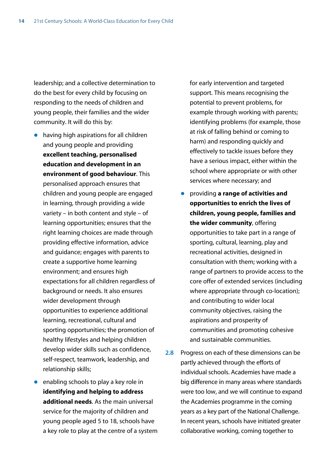leadership; and a collective determination to do the best for every child by focusing on responding to the needs of children and young people, their families and the wider community. It will do this by:

- $\bullet$  having high aspirations for all children and young people and providing **excellent teaching, personalised education and development in an environment of good behaviour**. This personalised approach ensures that children and young people are engaged in learning, through providing a wide variety – in both content and style – of learning opportunities; ensures that the right learning choices are made through providing effective information, advice and guidance; engages with parents to create a supportive home learning environment; and ensures high expectations for all children regardless of background or needs. It also ensures wider development through opportunities to experience additional learning, recreational, cultural and sporting opportunities; the promotion of healthy lifestyles and helping children develop wider skills such as confidence, self-respect, teamwork, leadership, and relationship skills;
- $\bullet$  enabling schools to play a key role in **identifying and helping to address additional needs**. As the main universal service for the majority of children and young people aged 5 to 18, schools have a key role to play at the centre of a system

for early intervention and targeted support. This means recognising the potential to prevent problems, for example through working with parents; identifying problems (for example, those at risk of falling behind or coming to harm) and responding quickly and effectively to tackle issues before they have a serious impact, either within the school where appropriate or with other services where necessary; and

- **•** providing a range of activities and **opportunities to enrich the lives of children, young people, families and the wider community**, offering opportunities to take part in a range of sporting, cultural, learning, play and recreational activities, designed in consultation with them; working with a range of partners to provide access to the core offer of extended services (including where appropriate through co-location); and contributing to wider local community objectives, raising the aspirations and prosperity of communities and promoting cohesive and sustainable communities.
- **2.8** Progress on each of these dimensions can be partly achieved through the efforts of individual schools. Academies have made a big difference in many areas where standards were too low, and we will continue to expand the Academies programme in the coming years as a key part of the National Challenge. In recent years, schools have initiated greater collaborative working, coming together to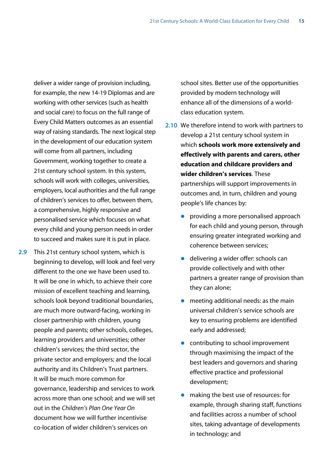deliver a wider range of provision including, for example, the new 14-19 Diplomas and are working with other services (such as health and social care) to focus on the full range of Every Child Matters outcomes as an essential way of raising standards. The next logical step in the development of our education system will come from all partners, including Government, working together to create a 21st century school system. In this system, schools will work with colleges, universities, employers, local authorities and the full range of children's services to offer, between them, a comprehensive, highly responsive and personalised service which focuses on what every child and young person needs in order to succeed and makes sure it is put in place.

**2.9** This 21st century school system, which is beginning to develop, will look and feel very different to the one we have been used to. It will be one in which, to achieve their core mission of excellent teaching and learning, schools look beyond traditional boundaries, are much more outward-facing, working in closer partnership with children, young people and parents; other schools, colleges, learning providers and universities; other children's services; the third sector, the private sector and employers; and the local authority and its Children's Trust partners. It will be much more common for governance, leadership and services to work across more than one school; and we will set out in the *Children's Plan One Year On* document how we will further incentivise co-location of wider children's services on

school sites. Better use of the opportunities provided by modern technology will enhance all of the dimensions of a worldclass education system.

- **2.10** We therefore intend to work with partners to develop a 21st century school system in which **schools work more extensively and effectively with parents and carers, other education and childcare providers and wider children's services**. These partnerships will support improvements in outcomes and, in turn, children and young people's life chances by:
	- $\bullet$  providing a more personalised approach for each child and young person, through ensuring greater integrated working and coherence between services;
	- $\bullet$  delivering a wider offer: schools can provide collectively and with other partners a greater range of provision than they can alone;
	- $\bullet$  meeting additional needs: as the main universal children's service schools are key to ensuring problems are identified early and addressed;
	- $\bullet$  contributing to school improvement through maximising the impact of the best leaders and governors and sharing effective practice and professional development;
	- $\bullet$  making the best use of resources: for example, through sharing staff, functions and facilities across a number of school sites, taking advantage of developments in technology; and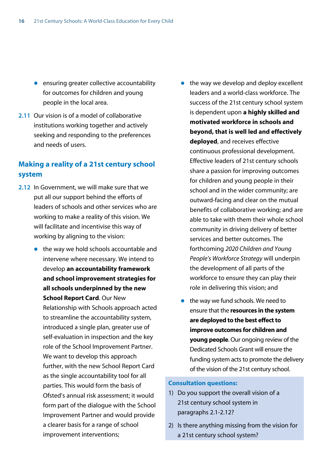- $\bullet$  ensuring greater collective accountability for outcomes for children and young people in the local area.
- **2.11** Our vision is of a model of collaborative institutions working together and actively seeking and responding to the preferences and needs of users.

### **Making a reality of a 21st century school system**

- **2.12** In Government, we will make sure that we put all our support behind the efforts of leaders of schools and other services who are working to make a reality of this vision. We will facilitate and incentivise this way of working by aligning to the vision:
	- $\bullet$  the way we hold schools accountable and intervene where necessary. We intend to develop **an accountability framework and school improvement strategies for all schools underpinned by the new School Report Card**. Our New Relationship with Schools approach acted to streamline the accountability system, introduced a single plan, greater use of self-evaluation in inspection and the key role of the School Improvement Partner. We want to develop this approach further, with the new School Report Card as the single accountability tool for all parties. This would form the basis of Ofsted's annual risk assessment; it would form part of the dialogue with the School Improvement Partner and would provide a clearer basis for a range of school improvement interventions;
- $\bullet$  the way we develop and deploy excellent leaders and a world-class workforce. The success of the 21st century school system is dependent upon **a highly skilled and motivated workforce in schools and beyond, that is well led and effectively deployed**, and receives effective continuous professional development. Effective leaders of 21st century schools share a passion for improving outcomes for children and young people in their school and in the wider community; are outward-facing and clear on the mutual benefits of collaborative working; and are able to take with them their whole school community in driving delivery of better services and better outcomes. The forthcoming *2020 Children and Young People's Workforce Strategy* will underpin the development of all parts of the workforce to ensure they can play their role in delivering this vision; and
- $\bullet$  the way we fund schools. We need to ensure that the **resources in the system are deployed to the best effect to improve outcomes for children and young people**. Our ongoing review of the Dedicated Schools Grant will ensure the funding system acts to promote the delivery of the vision of the 21st century school.

#### **Consultation questions:**

- 1) Do you support the overall vision of a 21st century school system in paragraphs 2.1-2.12?
- 2) Is there anything missing from the vision for a 21st century school system?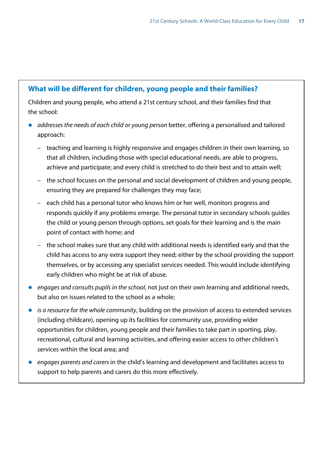#### **What will be different for children, young people and their families?**

Children and young people, who attend a 21st century school, and their families find that the school:

- addresses the needs of each child or young person better, offering a personalised and tailored approach:
	- teaching and learning is highly responsive and engages children in their own learning, so that all children, including those with special educational needs, are able to progress, achieve and participate; and every child is stretched to do their best and to attain well;
	- the school focuses on the personal and social development of children and young people, ensuring they are prepared for challenges they may face;
	- each child has a personal tutor who knows him or her well, monitors progress and responds quickly if any problems emerge. The personal tutor in secondary schools guides the child or young person through options, set goals for their learning and is the main point of contact with home; and
	- the school makes sure that any child with additional needs is identified early and that the child has access to any extra support they need; either by the school providing the support themselves, or by accessing any specialist services needed. This would include identifying early children who might be at risk of abuse.
- engages and consults pupils in the school, not just on their own learning and additional needs, but also on issues related to the school as a whole;
- **•** *is a resource for the whole community*, building on the provision of access to extended services (including childcare), opening up its facilities for community use, providing wider opportunities for children, young people and their families to take part in sporting, play, recreational, cultural and learning activities, and offering easier access to other children's services within the local area; and
- engages parents and carers in the child's learning and development and facilitates access to support to help parents and carers do this more effectively.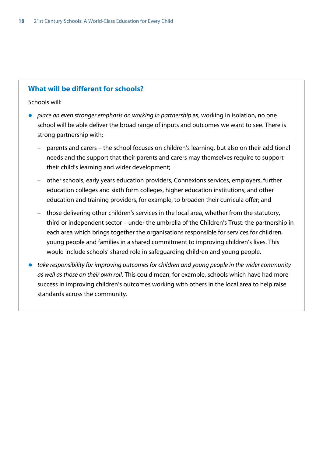### **What will be different for schools?**

Schools will:

- **•** *place an even stronger emphasis on working in partnership as, working in isolation, no one* school will be able deliver the broad range of inputs and outcomes we want to see. There is strong partnership with:
	- parents and carers the school focuses on children's learning, but also on their additional needs and the support that their parents and carers may themselves require to support their child's learning and wider development;
	- other schools, early years education providers, Connexions services, employers, further education colleges and sixth form colleges, higher education institutions, and other education and training providers, for example, to broaden their curricula offer; and
	- those delivering other children's services in the local area, whether from the statutory, third or independent sector – under the umbrella of the Children's Trust: the partnership in each area which brings together the organisations responsible for services for children, young people and families in a shared commitment to improving children's lives. This would include schools' shared role in safeguarding children and young people.
- take responsibility for improving outcomes for children and young people in the wider community *as well as those on their own roll*. This could mean, for example, schools which have had more success in improving children's outcomes working with others in the local area to help raise standards across the community.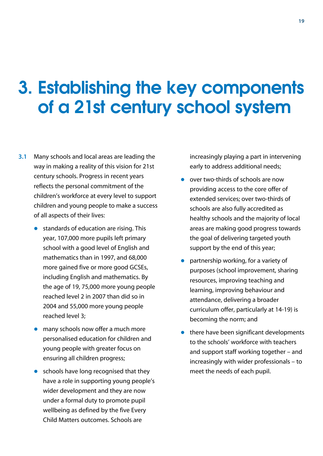## 3. Establishing the key components of a 21st century school system

- **3.1** Many schools and local areas are leading the way in making a reality of this vision for 21st century schools. Progress in recent years reflects the personal commitment of the children's workforce at every level to support children and young people to make a success of all aspects of their lives:
	- $\bullet$  standards of education are rising. This year, 107,000 more pupils left primary school with a good level of English and mathematics than in 1997, and 68,000 more gained five or more good GCSEs, including English and mathematics. By the age of 19, 75,000 more young people reached level 2 in 2007 than did so in 2004 and 55,000 more young people reached level 3;
	- many schools now offer a much more personalised education for children and young people with greater focus on ensuring all children progress;
	- $\bullet$  schools have long recognised that they have a role in supporting young people's wider development and they are now under a formal duty to promote pupil wellbeing as defined by the five Every Child Matters outcomes. Schools are

increasingly playing a part in intervening early to address additional needs;

- $\bullet$  over two-thirds of schools are now providing access to the core offer of extended services; over two-thirds of schools are also fully accredited as healthy schools and the majority of local areas are making good progress towards the goal of delivering targeted youth support by the end of this year;
- $\bullet$  partnership working, for a variety of purposes (school improvement, sharing resources, improving teaching and learning, improving behaviour and attendance, delivering a broader curriculum offer, particularly at 14-19) is becoming the norm; and
- $\bullet$  there have been significant developments to the schools' workforce with teachers and support staff working together – and increasingly with wider professionals – to meet the needs of each pupil.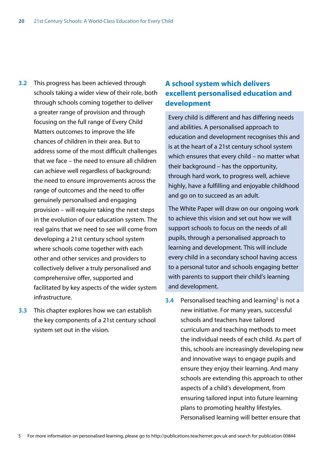- **3.2** This progress has been achieved through schools taking a wider view of their role, both through schools coming together to deliver a greater range of provision and through focusing on the full range of Every Child Matters outcomes to improve the life chances of children in their area. But to address some of the most difficult challenges that we face – the need to ensure all children can achieve well regardless of background; the need to ensure improvements across the range of outcomes and the need to offer genuinely personalised and engaging provision – will require taking the next steps in the evolution of our education system. The real gains that we need to see will come from developing a 21st century school system where schools come together with each other and other services and providers to collectively deliver a truly personalised and comprehensive offer, supported and facilitated by key aspects of the wider system infrastructure.
- **3.3** This chapter explores how we can establish the key components of a 21st century school system set out in the vision.

## **A school system which delivers excellent personalised education and development**

Every child is different and has differing needs and abilities. A personalised approach to education and development recognises this and is at the heart of a 21st century school system which ensures that every child – no matter what their background – has the opportunity, through hard work, to progress well, achieve highly, have a fulfilling and enjoyable childhood and go on to succeed as an adult.

The White Paper will draw on our ongoing work to achieve this vision and set out how we will support schools to focus on the needs of all pupils, through a personalised approach to learning and development. This will include every child in a secondary school having access to a personal tutor and schools engaging better with parents to support their child's learning and development.

**3.4** Personalised teaching and learning<sup>5</sup> is not a new initiative. For many years, successful schools and teachers have tailored curriculum and teaching methods to meet the individual needs of each child. As part of this, schools are increasingly developing new and innovative ways to engage pupils and ensure they enjoy their learning. And many schools are extending this approach to other aspects of a child's development, from ensuring tailored input into future learning plans to promoting healthy lifestyles. Personalised learning will better ensure that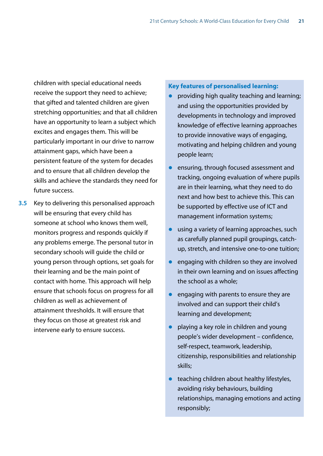children with special educational needs receive the support they need to achieve; that gifted and talented children are given stretching opportunities; and that all children have an opportunity to learn a subject which excites and engages them. This will be particularly important in our drive to narrow attainment gaps, which have been a persistent feature of the system for decades and to ensure that all children develop the skills and achieve the standards they need for future success.

**3.5** Key to delivering this personalised approach will be ensuring that every child has someone at school who knows them well, monitors progress and responds quickly if any problems emerge. The personal tutor in secondary schools will guide the child or young person through options, set goals for their learning and be the main point of contact with home. This approach will help ensure that schools focus on progress for all children as well as achievement of attainment thresholds. It will ensure that they focus on those at greatest risk and intervene early to ensure success.

#### **Key features of personalised learning:**

- providing high quality teaching and learning; and using the opportunities provided by developments in technology and improved knowledge of effective learning approaches to provide innovative ways of engaging, motivating and helping children and young people learn;
- ensuring, through focused assessment and tracking, ongoing evaluation of where pupils are in their learning, what they need to do next and how best to achieve this. This can be supported by effective use of ICT and management information systems;
- $\bullet$  using a variety of learning approaches, such as carefully planned pupil groupings, catchup, stretch, and intensive one-to-one tuition;
- $\bullet$  engaging with children so they are involved in their own learning and on issues affecting the school as a whole;
- $\bullet$  engaging with parents to ensure they are involved and can support their child's learning and development;
- playing a key role in children and young people's wider development – confidence, self-respect, teamwork, leadership, citizenship, responsibilities and relationship skills;
- $\bullet$  teaching children about healthy lifestyles, avoiding risky behaviours, building relationships, managing emotions and acting responsibly;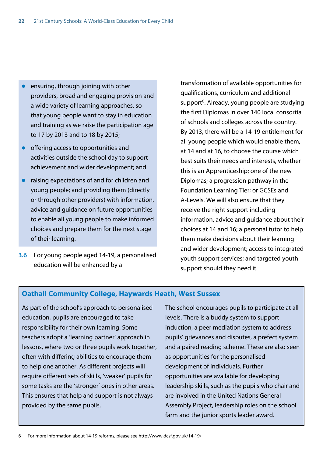- ensuring, through joining with other providers, broad and engaging provision and a wide variety of learning approaches, so that young people want to stay in education and training as we raise the participation age to 17 by 2013 and to 18 by 2015;
- offering access to opportunities and activities outside the school day to support achievement and wider development; and
- raising expectations of and for children and young people; and providing them (directly or through other providers) with information, advice and guidance on future opportunities to enable all young people to make informed choices and prepare them for the next stage of their learning.
- **3.6** For young people aged 14-19, a personalised education will be enhanced by a

transformation of available opportunities for qualifications, curriculum and additional support<sup>6</sup>. Already, young people are studying the first Diplomas in over 140 local consortia of schools and colleges across the country. By 2013, there will be a 14-19 entitlement for all young people which would enable them, at 14 and at 16, to choose the course which best suits their needs and interests, whether this is an Apprenticeship; one of the new Diplomas; a progression pathway in the Foundation Learning Tier; or GCSEs and A-Levels. We will also ensure that they receive the right support including information, advice and guidance about their choices at 14 and 16; a personal tutor to help them make decisions about their learning and wider development; access to integrated youth support services; and targeted youth support should they need it.

#### **Oathall Community College, Haywards Heath, West Sussex**

As part of the school's approach to personalised education, pupils are encouraged to take responsibility for their own learning. Some teachers adopt a 'learning partner' approach in lessons, where two or three pupils work together, often with differing abilities to encourage them to help one another. As different projects will require different sets of skills, 'weaker' pupils for some tasks are the 'stronger' ones in other areas. This ensures that help and support is not always provided by the same pupils.

The school encourages pupils to participate at all levels. There is a buddy system to support induction, a peer mediation system to address pupils' grievances and disputes, a prefect system and a paired reading scheme. These are also seen as opportunities for the personalised development of individuals. Further opportunities are available for developing leadership skills, such as the pupils who chair and are involved in the United Nations General Assembly Project, leadership roles on the school farm and the junior sports leader award.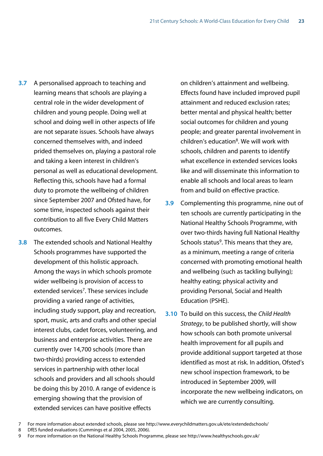- **3.7** A personalised approach to teaching and learning means that schools are playing a central role in the wider development of children and young people. Doing well at school and doing well in other aspects of life are not separate issues. Schools have always concerned themselves with, and indeed prided themselves on, playing a pastoral role and taking a keen interest in children's personal as well as educational development. Reflecting this, schools have had a formal duty to promote the wellbeing of children since September 2007 and Ofsted have, for some time, inspected schools against their contribution to all five Every Child Matters outcomes.
- **3.8** The extended schools and National Healthy Schools programmes have supported the development of this holistic approach. Among the ways in which schools promote wider wellbeing is provision of access to extended services7. These services include providing a varied range of activities, including study support, play and recreation, sport, music, arts and crafts and other special interest clubs, cadet forces, volunteering, and business and enterprise activities. There are currently over 14,700 schools (more than two-thirds) providing access to extended services in partnership with other local schools and providers and all schools should be doing this by 2010. A range of evidence is emerging showing that the provision of extended services can have positive effects

on children's attainment and wellbeing. Effects found have included improved pupil attainment and reduced exclusion rates; better mental and physical health; better social outcomes for children and young people; and greater parental involvement in children's education $8$ . We will work with schools, children and parents to identify what excellence in extended services looks like and will disseminate this information to enable all schools and local areas to learn from and build on effective practice.

- **3.9** Complementing this programme, nine out of ten schools are currently participating in the National Healthy Schools Programme, with over two-thirds having full National Healthy Schools status<sup>9</sup>. This means that they are, as a minimum, meeting a range of criteria concerned with promoting emotional health and wellbeing (such as tackling bullying); healthy eating; physical activity and providing Personal, Social and Health Education (PSHE).
- **3.10** To build on this success, the *Child Health Strategy*, to be published shortly, will show how schools can both promote universal health improvement for all pupils and provide additional support targeted at those identified as most at risk. In addition, Ofsted's new school inspection framework, to be introduced in September 2009, will incorporate the new wellbeing indicators, on which we are currently consulting.

- 8 DfES funded evaluations (Cummings et al 2004, 2005, 2006).
- 9 For more information on the National Healthy Schools Programme, please see http://www.healthyschools.gov.uk/

<sup>7</sup> For more information about extended schools, please see http://www.everychildmatters.gov.uk/ete/extendedschools/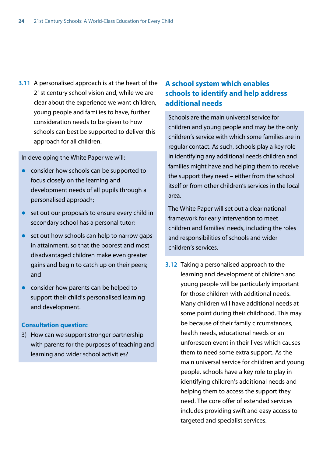**3.11** A personalised approach is at the heart of the 21st century school vision and, while we are clear about the experience we want children, young people and families to have, further consideration needs to be given to how schools can best be supported to deliver this approach for all children.

In developing the White Paper we will:

- $\bullet$  consider how schools can be supported to focus closely on the learning and development needs of all pupils through a personalised approach;
- $\bullet$  set out our proposals to ensure every child in secondary school has a personal tutor;
- $\bullet$  set out how schools can help to narrow gaps in attainment, so that the poorest and most disadvantaged children make even greater gains and begin to catch up on their peers; and
- consider how parents can be helped to support their child's personalised learning and development.

#### **Consultation question:**

3) How can we support stronger partnership with parents for the purposes of teaching and learning and wider school activities?

## **A school system which enables schools to identify and help address additional needs**

Schools are the main universal service for children and young people and may be the only children's service with which some families are in regular contact. As such, schools play a key role in identifying any additional needs children and families might have and helping them to receive the support they need – either from the school itself or from other children's services in the local area.

The White Paper will set out a clear national framework for early intervention to meet children and families' needs, including the roles and responsibilities of schools and wider children's services.

**3.12** Taking a personalised approach to the learning and development of children and young people will be particularly important for those children with additional needs. Many children will have additional needs at some point during their childhood. This may be because of their family circumstances, health needs, educational needs or an unforeseen event in their lives which causes them to need some extra support. As the main universal service for children and young people, schools have a key role to play in identifying children's additional needs and helping them to access the support they need. The core offer of extended services includes providing swift and easy access to targeted and specialist services.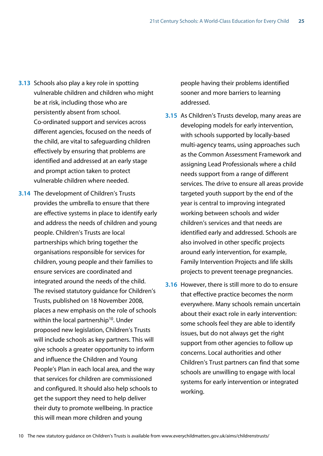- **3.13** Schools also play a key role in spotting vulnerable children and children who might be at risk, including those who are persistently absent from school. Co-ordinated support and services across different agencies, focused on the needs of the child, are vital to safeguarding children effectively by ensuring that problems are identified and addressed at an early stage and prompt action taken to protect vulnerable children where needed.
- **3.14** The development of Children's Trusts provides the umbrella to ensure that there are effective systems in place to identify early and address the needs of children and young people. Children's Trusts are local partnerships which bring together the organisations responsible for services for children, young people and their families to ensure services are coordinated and integrated around the needs of the child. The revised statutory guidance for Children's Trusts, published on 18 November 2008, places a new emphasis on the role of schools within the local partnership<sup>10</sup>. Under proposed new legislation, Children's Trusts will include schools as key partners. This will give schools a greater opportunity to inform and influence the Children and Young People's Plan in each local area, and the way that services for children are commissioned and configured. It should also help schools to get the support they need to help deliver their duty to promote wellbeing. In practice this will mean more children and young

people having their problems identified sooner and more barriers to learning addressed.

- **3.15** As Children's Trusts develop, many areas are developing models for early intervention, with schools supported by locally-based multi-agency teams, using approaches such as the Common Assessment Framework and assigning Lead Professionals where a child needs support from a range of different services. The drive to ensure all areas provide targeted youth support by the end of the year is central to improving integrated working between schools and wider children's services and that needs are identified early and addressed. Schools are also involved in other specific projects around early intervention, for example, Family Intervention Projects and life skills projects to prevent teenage pregnancies.
- **3.16** However, there is still more to do to ensure that effective practice becomes the norm everywhere. Many schools remain uncertain about their exact role in early intervention: some schools feel they are able to identify issues, but do not always get the right support from other agencies to follow up concerns. Local authorities and other Children's Trust partners can find that some schools are unwilling to engage with local systems for early intervention or integrated working.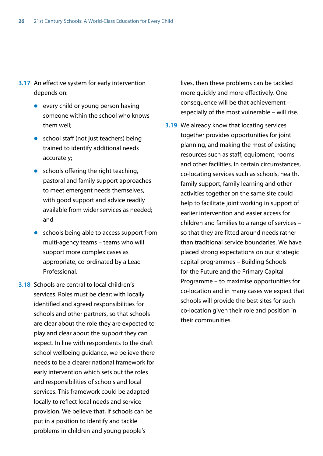- **3.17** An effective system for early intervention depends on:
	- $\bullet$  every child or young person having someone within the school who knows them well;
	- $\bullet$  school staff (not just teachers) being trained to identify additional needs accurately;
	- $\bullet$  schools offering the right teaching, pastoral and family support approaches to meet emergent needs themselves, with good support and advice readily available from wider services as needed; and
	- $\bullet$  schools being able to access support from multi-agency teams – teams who will support more complex cases as appropriate, co-ordinated by a Lead Professional.
- **3.18** Schools are central to local children's services. Roles must be clear: with locally identified and agreed responsibilities for schools and other partners, so that schools are clear about the role they are expected to play and clear about the support they can expect. In line with respondents to the draft school wellbeing guidance, we believe there needs to be a clearer national framework for early intervention which sets out the roles and responsibilities of schools and local services. This framework could be adapted locally to reflect local needs and service provision. We believe that, if schools can be put in a position to identify and tackle problems in children and young people's

lives, then these problems can be tackled more quickly and more effectively. One consequence will be that achievement – especially of the most vulnerable – will rise.

**3.19** We already know that locating services together provides opportunities for joint planning, and making the most of existing resources such as staff, equipment, rooms and other facilities. In certain circumstances, co-locating services such as schools, health, family support, family learning and other activities together on the same site could help to facilitate joint working in support of earlier intervention and easier access for children and families to a range of services – so that they are fitted around needs rather than traditional service boundaries. We have placed strong expectations on our strategic capital programmes – Building Schools for the Future and the Primary Capital Programme – to maximise opportunities for co-location and in many cases we expect that schools will provide the best sites for such co-location given their role and position in their communities.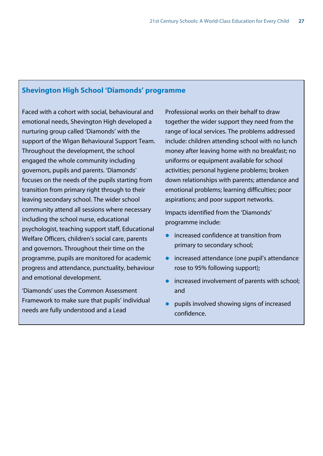#### **Shevington High School 'Diamonds' programme**

Faced with a cohort with social, behavioural and emotional needs, Shevington High developed a nurturing group called 'Diamonds' with the support of the Wigan Behavioural Support Team. Throughout the development, the school engaged the whole community including governors, pupils and parents. 'Diamonds' focuses on the needs of the pupils starting from transition from primary right through to their leaving secondary school. The wider school community attend all sessions where necessary including the school nurse, educational psychologist, teaching support staff, Educational Welfare Officers, children's social care, parents and governors. Throughout their time on the programme, pupils are monitored for academic progress and attendance, punctuality, behaviour and emotional development.

'Diamonds' uses the Common Assessment Framework to make sure that pupils' individual needs are fully understood and a Lead

Professional works on their behalf to draw together the wider support they need from the range of local services. The problems addressed include: children attending school with no lunch money after leaving home with no breakfast; no uniforms or equipment available for school activities; personal hygiene problems; broken down relationships with parents; attendance and emotional problems; learning difficulties; poor aspirations; and poor support networks.

Impacts identified from the 'Diamonds' programme include:

- $\bullet$  increased confidence at transition from primary to secondary school;
- $\bullet$  increased attendance (one pupil's attendance rose to 95% following support);
- $\bullet$  increased involvement of parents with school; and
- pupils involved showing signs of increased confidence.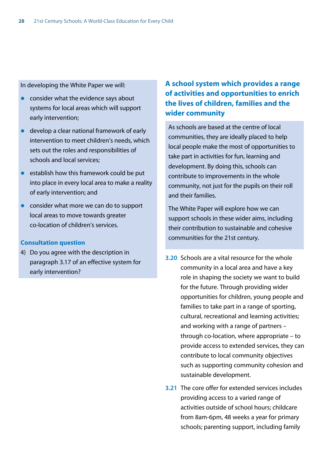In developing the White Paper we will:

- $\bullet$  consider what the evidence says about systems for local areas which will support early intervention;
- develop a clear national framework of early intervention to meet children's needs, which sets out the roles and responsibilities of schools and local services;
- $\bullet$  establish how this framework could be put into place in every local area to make a reality of early intervention; and
- consider what more we can do to support local areas to move towards greater co-location of children's services.

#### **Consultation question**

4) Do you agree with the description in paragraph 3.17 of an effective system for early intervention?

## **A school system which provides a range of activities and opportunities to enrich the lives of children, families and the wider community**

As schools are based at the centre of local communities, they are ideally placed to help local people make the most of opportunities to take part in activities for fun, learning and development. By doing this, schools can contribute to improvements in the whole community, not just for the pupils on their roll and their families.

The White Paper will explore how we can support schools in these wider aims, including their contribution to sustainable and cohesive communities for the 21st century.

- **3.20** Schools are a vital resource for the whole community in a local area and have a key role in shaping the society we want to build for the future. Through providing wider opportunities for children, young people and families to take part in a range of sporting, cultural, recreational and learning activities; and working with a range of partners – through co-location, where appropriate – to provide access to extended services, they can contribute to local community objectives such as supporting community cohesion and sustainable development.
- **3.21** The core offer for extended services includes providing access to a varied range of activities outside of school hours; childcare from 8am-6pm, 48 weeks a year for primary schools; parenting support, including family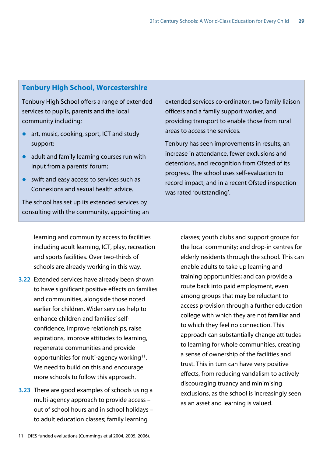## **Tenbury High School, Worcestershire**

Tenbury High School offers a range of extended services to pupils, parents and the local community including:

- $\bullet$  art, music, cooking, sport, ICT and study support;
- $\bullet$  adult and family learning courses run with input from a parents' forum;
- $\bullet$  swift and easy access to services such as Connexions and sexual health advice.

The school has set up its extended services by consulting with the community, appointing an

learning and community access to facilities including adult learning, ICT, play, recreation and sports facilities. Over two-thirds of schools are already working in this way.

- **3.22** Extended services have already been shown to have significant positive effects on families and communities, alongside those noted earlier for children. Wider services help to enhance children and families' selfconfidence, improve relationships, raise aspirations, improve attitudes to learning, regenerate communities and provide opportunities for multi-agency working<sup>11</sup>. We need to build on this and encourage more schools to follow this approach.
- **3.23** There are good examples of schools using a multi-agency approach to provide access – out of school hours and in school holidays – to adult education classes; family learning

extended services co-ordinator, two family liaison officers and a family support worker, and providing transport to enable those from rural areas to access the services.

Tenbury has seen improvements in results, an increase in attendance, fewer exclusions and detentions, and recognition from Ofsted of its progress. The school uses self-evaluation to record impact, and in a recent Ofsted inspection was rated 'outstanding'.

> classes; youth clubs and support groups for the local community; and drop-in centres for elderly residents through the school. This can enable adults to take up learning and training opportunities; and can provide a route back into paid employment, even among groups that may be reluctant to access provision through a further education college with which they are not familiar and to which they feel no connection. This approach can substantially change attitudes to learning for whole communities, creating a sense of ownership of the facilities and trust. This in turn can have very positive effects, from reducing vandalism to actively discouraging truancy and minimising exclusions, as the school is increasingly seen as an asset and learning is valued.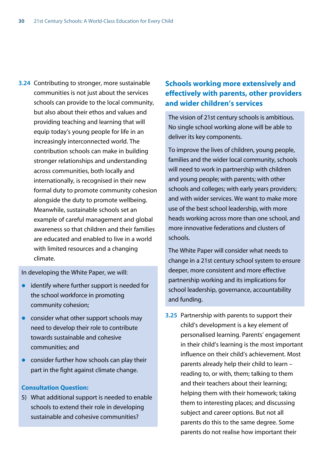**3.24** Contributing to stronger, more sustainable communities is not just about the services schools can provide to the local community, but also about their ethos and values and providing teaching and learning that will equip today's young people for life in an increasingly interconnected world. The contribution schools can make in building stronger relationships and understanding across communities, both locally and internationally, is recognised in their new formal duty to promote community cohesion alongside the duty to promote wellbeing. Meanwhile, sustainable schools set an example of careful management and global awareness so that children and their families are educated and enabled to live in a world with limited resources and a changing climate.

In developing the White Paper, we will:

- $\bullet$  identify where further support is needed for the school workforce in promoting community cohesion;
- $\bullet$  consider what other support schools may need to develop their role to contribute towards sustainable and cohesive communities; and
- consider further how schools can play their part in the fight against climate change.

#### **Consultation Question:**

5) What additional support is needed to enable schools to extend their role in developing sustainable and cohesive communities?

### **Schools working more extensively and effectively with parents, other providers and wider children's services**

The vision of 21st century schools is ambitious. No single school working alone will be able to deliver its key components.

To improve the lives of children, young people, families and the wider local community, schools will need to work in partnership with children and young people; with parents; with other schools and colleges; with early years providers; and with wider services. We want to make more use of the best school leadership, with more heads working across more than one school, and more innovative federations and clusters of schools.

The White Paper will consider what needs to change in a 21st century school system to ensure deeper, more consistent and more effective partnership working and its implications for school leadership, governance, accountability and funding.

**3.25** Partnership with parents to support their child's development is a key element of personalised learning. Parents' engagement in their child's learning is the most important influence on their child's achievement. Most parents already help their child to learn – reading to, or with, them; talking to them and their teachers about their learning; helping them with their homework; taking them to interesting places; and discussing subject and career options. But not all parents do this to the same degree. Some parents do not realise how important their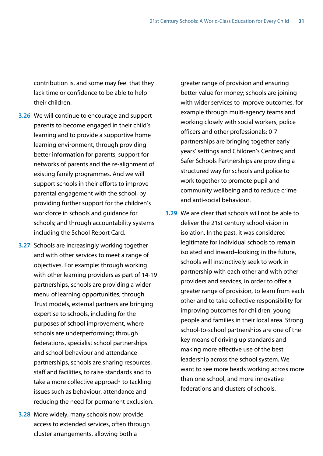contribution is, and some may feel that they lack time or confidence to be able to help their children.

- **3.26** We will continue to encourage and support parents to become engaged in their child's learning and to provide a supportive home learning environment, through providing better information for parents, support for networks of parents and the re-alignment of existing family programmes. And we will support schools in their efforts to improve parental engagement with the school, by providing further support for the children's workforce in schools and guidance for schools; and through accountability systems including the School Report Card.
- **3.27** Schools are increasingly working together and with other services to meet a range of objectives. For example: through working with other learning providers as part of 14-19 partnerships, schools are providing a wider menu of learning opportunities; through Trust models, external partners are bringing expertise to schools, including for the purposes of school improvement, where schools are underperforming; through federations, specialist school partnerships and school behaviour and attendance partnerships, schools are sharing resources, staff and facilities, to raise standards and to take a more collective approach to tackling issues such as behaviour, attendance and reducing the need for permanent exclusion.
- **3.28** More widely, many schools now provide access to extended services, often through cluster arrangements, allowing both a

greater range of provision and ensuring better value for money; schools are joining with wider services to improve outcomes, for example through multi-agency teams and working closely with social workers, police officers and other professionals; 0-7 partnerships are bringing together early years' settings and Children's Centres; and Safer Schools Partnerships are providing a structured way for schools and police to work together to promote pupil and community wellbeing and to reduce crime and anti-social behaviour.

**3.29** We are clear that schools will not be able to deliver the 21st century school vision in isolation. In the past, it was considered legitimate for individual schools to remain isolated and inward–looking; in the future, schools will instinctively seek to work in partnership with each other and with other providers and services, in order to offer a greater range of provision, to learn from each other and to take collective responsibility for improving outcomes for children, young people and families in their local area. Strong school-to-school partnerships are one of the key means of driving up standards and making more effective use of the best leadership across the school system. We want to see more heads working across more than one school, and more innovative federations and clusters of schools.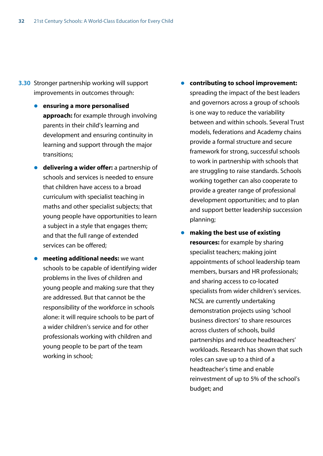- **3.30** Stronger partnership working will support improvements in outcomes through:
	- **•** ensuring a more personalised **approach:** for example through involving parents in their child's learning and development and ensuring continuity in learning and support through the major transitions;
	- **delivering a wider offer:** a partnership of schools and services is needed to ensure that children have access to a broad curriculum with specialist teaching in maths and other specialist subjects; that young people have opportunities to learn a subject in a style that engages them; and that the full range of extended services can be offered;
	- **meeting additional needs:** we want schools to be capable of identifying wider problems in the lives of children and young people and making sure that they are addressed. But that cannot be the responsibility of the workforce in schools alone: it will require schools to be part of a wider children's service and for other professionals working with children and young people to be part of the team working in school;
- **•** contributing to school improvement: spreading the impact of the best leaders and governors across a group of schools is one way to reduce the variability between and within schools. Several Trust models, federations and Academy chains provide a formal structure and secure framework for strong, successful schools to work in partnership with schools that are struggling to raise standards. Schools working together can also cooperate to provide a greater range of professional development opportunities; and to plan and support better leadership succession planning;
- **•** making the best use of existing **resources:** for example by sharing specialist teachers; making joint appointments of school leadership team members, bursars and HR professionals; and sharing access to co-located specialists from wider children's services. NCSL are currently undertaking demonstration projects using 'school business directors' to share resources across clusters of schools, build partnerships and reduce headteachers' workloads. Research has shown that such roles can save up to a third of a headteacher's time and enable reinvestment of up to 5% of the school's budget; and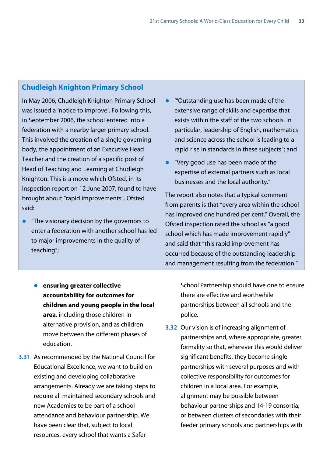### **Chudleigh Knighton Primary School**

In May 2006, Chudleigh Knighton Primary School was issued a 'notice to improve'. Following this, in September 2006, the school entered into a federation with a nearby larger primary school. This involved the creation of a single governing body, the appointment of an Executive Head Teacher and the creation of a specific post of Head of Teaching and Learning at Chudleigh Knighton. This is a move which Ofsted, in its inspection report on 12 June 2007, found to have brought about "rapid improvements". Ofsted said:

"The visionary decision by the governors to enter a federation with another school has led to major improvements in the quality of teaching";

- "Outstanding use has been made of the extensive range of skills and expertise that exists within the staff of the two schools. In particular, leadership of English, mathematics and science across the school is leading to a rapid rise in standards in these subjects"; and
- "Very good use has been made of the expertise of external partners such as local businesses and the local authority."

The report also notes that a typical comment from parents is that "every area within the school has improved one hundred per cent." Overall, the Ofsted inspection rated the school as "a good school which has made improvement rapidly" and said that "this rapid improvement has occurred because of the outstanding leadership and management resulting from the federation."

- **•** ensuring greater collective **accountability for outcomes for children and young people in the local area**, including those children in alternative provision, and as children move between the different phases of education.
- **3.31** As recommended by the National Council for Educational Excellence, we want to build on existing and developing collaborative arrangements. Already we are taking steps to require all maintained secondary schools and new Academies to be part of a school attendance and behaviour partnership. We have been clear that, subject to local resources, every school that wants a Safer

School Partnership should have one to ensure there are effective and worthwhile partnerships between all schools and the police.

**3.32** Our vision is of increasing alignment of partnerships and, where appropriate, greater formality so that, wherever this would deliver significant benefits, they become single partnerships with several purposes and with collective responsibility for outcomes for children in a local area. For example, alignment may be possible between behaviour partnerships and 14-19 consortia; or between clusters of secondaries with their feeder primary schools and partnerships with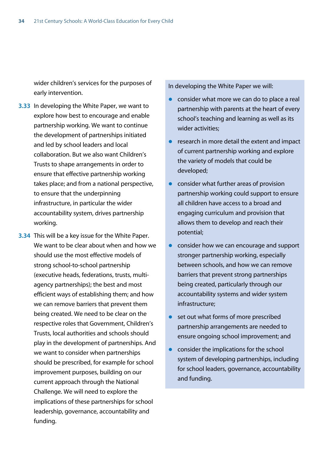wider children's services for the purposes of early intervention.

- **3.33** In developing the White Paper, we want to explore how best to encourage and enable partnership working. We want to continue the development of partnerships initiated and led by school leaders and local collaboration. But we also want Children's Trusts to shape arrangements in order to ensure that effective partnership working takes place; and from a national perspective, to ensure that the underpinning infrastructure, in particular the wider accountability system, drives partnership working.
- **3.34** This will be a key issue for the White Paper. We want to be clear about when and how we should use the most effective models of strong school-to-school partnership (executive heads, federations, trusts, multiagency partnerships); the best and most efficient ways of establishing them; and how we can remove barriers that prevent them being created. We need to be clear on the respective roles that Government, Children's Trusts, local authorities and schools should play in the development of partnerships. And we want to consider when partnerships should be prescribed, for example for school improvement purposes, building on our current approach through the National Challenge. We will need to explore the implications of these partnerships for school leadership, governance, accountability and funding.

In developing the White Paper we will:

- consider what more we can do to place a real partnership with parents at the heart of every school's teaching and learning as well as its wider activities;
- research in more detail the extent and impact of current partnership working and explore the variety of models that could be developed;
- consider what further areas of provision partnership working could support to ensure all children have access to a broad and engaging curriculum and provision that allows them to develop and reach their potential;
- consider how we can encourage and support stronger partnership working, especially between schools, and how we can remove barriers that prevent strong partnerships being created, particularly through our accountability systems and wider system infrastructure;
- set out what forms of more prescribed partnership arrangements are needed to ensure ongoing school improvement; and
- consider the implications for the school system of developing partnerships, including for school leaders, governance, accountability and funding.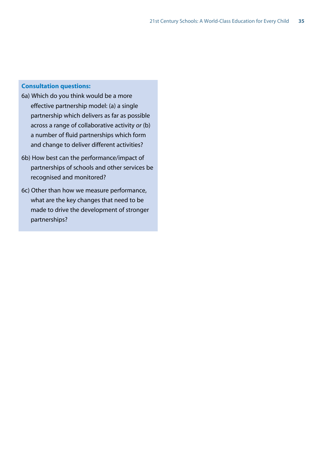#### **Consultation questions:**

- 6a) Which do you think would be a more effective partnership model: (a) a single partnership which delivers as far as possible across a range of collaborative activity *or* (b) a number of fluid partnerships which form and change to deliver different activities?
- 6b) How best can the performance/impact of partnerships of schools and other services be recognised and monitored?
- 6c) Other than how we measure performance, what are the key changes that need to be made to drive the development of stronger partnerships?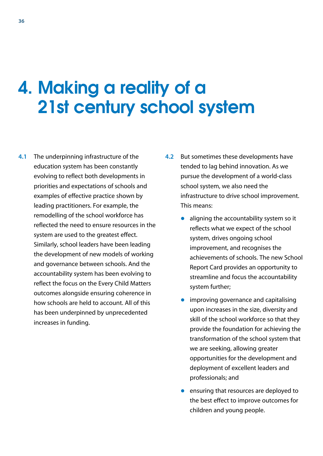## 4. Making a reality of a 21st century school system

- **4.1** The underpinning infrastructure of the education system has been constantly evolving to reflect both developments in priorities and expectations of schools and examples of effective practice shown by leading practitioners. For example, the remodelling of the school workforce has reflected the need to ensure resources in the system are used to the greatest effect. Similarly, school leaders have been leading the development of new models of working and governance between schools. And the accountability system has been evolving to reflect the focus on the Every Child Matters outcomes alongside ensuring coherence in how schools are held to account. All of this has been underpinned by unprecedented increases in funding.
- **4.2** But sometimes these developments have tended to lag behind innovation. As we pursue the development of a world-class school system, we also need the infrastructure to drive school improvement. This means:
	- $\bullet$  aligning the accountability system so it reflects what we expect of the school system, drives ongoing school improvement, and recognises the achievements of schools. The new School Report Card provides an opportunity to streamline and focus the accountability system further;
	- $\bullet$  improving governance and capitalising upon increases in the size, diversity and skill of the school workforce so that they provide the foundation for achieving the transformation of the school system that we are seeking, allowing greater opportunities for the development and deployment of excellent leaders and professionals; and
	- $\bullet$  ensuring that resources are deployed to the best effect to improve outcomes for children and young people.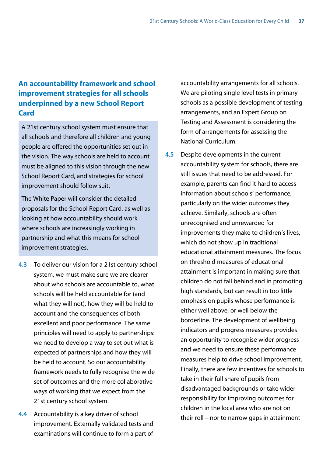## **An accountability framework and school improvement strategies for all schools underpinned by a new School Report Card**

A 21st century school system must ensure that all schools and therefore all children and young people are offered the opportunities set out in the vision. The way schools are held to account must be aligned to this vision through the new School Report Card, and strategies for school improvement should follow suit.

The White Paper will consider the detailed proposals for the School Report Card, as well as looking at how accountability should work where schools are increasingly working in partnership and what this means for school improvement strategies.

- **4.3** To deliver our vision for a 21st century school system, we must make sure we are clearer about who schools are accountable to, what schools will be held accountable for (and what they will not), how they will be held to account and the consequences of both excellent and poor performance. The same principles will need to apply to partnerships: we need to develop a way to set out what is expected of partnerships and how they will be held to account. So our accountability framework needs to fully recognise the wide set of outcomes and the more collaborative ways of working that we expect from the 21st century school system.
- **4.4** Accountability is a key driver of school improvement. Externally validated tests and examinations will continue to form a part of

accountability arrangements for all schools. We are piloting single level tests in primary schools as a possible development of testing arrangements, and an Expert Group on Testing and Assessment is considering the form of arrangements for assessing the National Curriculum.

**4.5** Despite developments in the current accountability system for schools, there are still issues that need to be addressed. For example, parents can find it hard to access information about schools' performance, particularly on the wider outcomes they achieve. Similarly, schools are often unrecognised and unrewarded for improvements they make to children's lives, which do not show up in traditional educational attainment measures. The focus on threshold measures of educational attainment is important in making sure that children do not fall behind and in promoting high standards, but can result in too little emphasis on pupils whose performance is either well above, or well below the borderline. The development of wellbeing indicators and progress measures provides an opportunity to recognise wider progress and we need to ensure these performance measures help to drive school improvement. Finally, there are few incentives for schools to take in their full share of pupils from disadvantaged backgrounds or take wider responsibility for improving outcomes for children in the local area who are not on their roll – nor to narrow gaps in attainment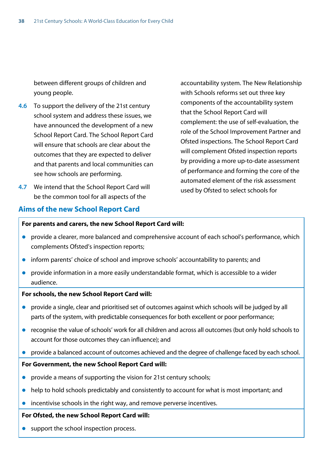between different groups of children and young people.

- **4.6** To support the delivery of the 21st century school system and address these issues, we have announced the development of a new School Report Card. The School Report Card will ensure that schools are clear about the outcomes that they are expected to deliver and that parents and local communities can see how schools are performing.
- **4.7** We intend that the School Report Card will be the common tool for all aspects of the

accountability system. The New Relationship with Schools reforms set out three key components of the accountability system that the School Report Card will complement: the use of self-evaluation, the role of the School Improvement Partner and Ofsted inspections. The School Report Card will complement Ofsted inspection reports by providing a more up-to-date assessment of performance and forming the core of the automated element of the risk assessment used by Ofsted to select schools for

#### **Aims of the new School Report Card**

#### **For parents and carers, the new School Report Card will:**

- provide a clearer, more balanced and comprehensive account of each school's performance, which complements Ofsted's inspection reports;
- inform parents' choice of school and improve schools' accountability to parents; and
- provide information in a more easily understandable format, which is accessible to a wider audience.

#### **For schools, the new School Report Card will:**

- provide a single, clear and prioritised set of outcomes against which schools will be judged by all parts of the system, with predictable consequences for both excellent or poor performance;
- recognise the value of schools' work for all children and across all outcomes (but only hold schools to account for those outcomes they can influence); and
- provide a balanced account of outcomes achieved and the degree of challenge faced by each school.

#### **For Government, the new School Report Card will:**

- provide a means of supporting the vision for 21st century schools;
- help to hold schools predictably and consistently to account for what is most important; and
- incentivise schools in the right way, and remove perverse incentives.

#### **For Ofsted, the new School Report Card will:**

 $\bullet$  support the school inspection process.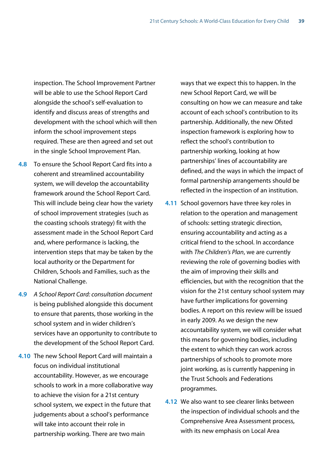inspection. The School Improvement Partner will be able to use the School Report Card alongside the school's self-evaluation to identify and discuss areas of strengths and development with the school which will then inform the school improvement steps required. These are then agreed and set out in the single School Improvement Plan.

- **4.8** To ensure the School Report Card fits into a coherent and streamlined accountability system, we will develop the accountability framework around the School Report Card. This will include being clear how the variety of school improvement strategies (such as the coasting schools strategy) fit with the assessment made in the School Report Card and, where performance is lacking, the intervention steps that may be taken by the local authority or the Department for Children, Schools and Families, such as the National Challenge.
- **4.9** *A School Report Card: consultation document* is being published alongside this document to ensure that parents, those working in the school system and in wider children's services have an opportunity to contribute to the development of the School Report Card.
- **4.10** The new School Report Card will maintain a focus on individual institutional accountability. However, as we encourage schools to work in a more collaborative way to achieve the vision for a 21st century school system, we expect in the future that judgements about a school's performance will take into account their role in partnership working. There are two main

ways that we expect this to happen. In the new School Report Card, we will be consulting on how we can measure and take account of each school's contribution to its partnership. Additionally, the new Ofsted inspection framework is exploring how to reflect the school's contribution to partnership working, looking at how partnerships' lines of accountability are defined, and the ways in which the impact of formal partnership arrangements should be reflected in the inspection of an institution.

- **4.11** School governors have three key roles in relation to the operation and management of schools: setting strategic direction, ensuring accountability and acting as a critical friend to the school. In accordance with *The Children's Plan*, we are currently reviewing the role of governing bodies with the aim of improving their skills and efficiencies, but with the recognition that the vision for the 21st century school system may have further implications for governing bodies. A report on this review will be issued in early 2009. As we design the new accountability system, we will consider what this means for governing bodies, including the extent to which they can work across partnerships of schools to promote more joint working, as is currently happening in the Trust Schools and Federations programmes.
- **4.12** We also want to see clearer links between the inspection of individual schools and the Comprehensive Area Assessment process, with its new emphasis on Local Area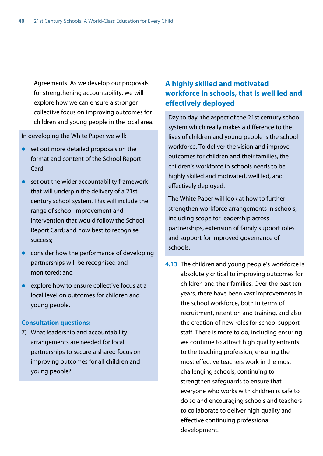Agreements. As we develop our proposals for strengthening accountability, we will explore how we can ensure a stronger collective focus on improving outcomes for children and young people in the local area.

In developing the White Paper we will:

- $\bullet$  set out more detailed proposals on the format and content of the School Report Card;
- $\bullet$  set out the wider accountability framework that will underpin the delivery of a 21st century school system. This will include the range of school improvement and intervention that would follow the School Report Card; and how best to recognise success;
- consider how the performance of developing partnerships will be recognised and monitored; and
- $\bullet$  explore how to ensure collective focus at a local level on outcomes for children and young people.

#### **Consultation questions:**

7) What leadership and accountability arrangements are needed for local partnerships to secure a shared focus on improving outcomes for all children and young people?

## **A highly skilled and motivated workforce in schools, that is well led and effectively deployed**

Day to day, the aspect of the 21st century school system which really makes a difference to the lives of children and young people is the school workforce. To deliver the vision and improve outcomes for children and their families, the children's workforce in schools needs to be highly skilled and motivated, well led, and effectively deployed.

The White Paper will look at how to further strengthen workforce arrangements in schools, including scope for leadership across partnerships, extension of family support roles and support for improved governance of schools.

**4.13** The children and young people's workforce is absolutely critical to improving outcomes for children and their families. Over the past ten years, there have been vast improvements in the school workforce, both in terms of recruitment, retention and training, and also the creation of new roles for school support staff. There is more to do, including ensuring we continue to attract high quality entrants to the teaching profession; ensuring the most effective teachers work in the most challenging schools; continuing to strengthen safeguards to ensure that everyone who works with children is safe to do so and encouraging schools and teachers to collaborate to deliver high quality and effective continuing professional development.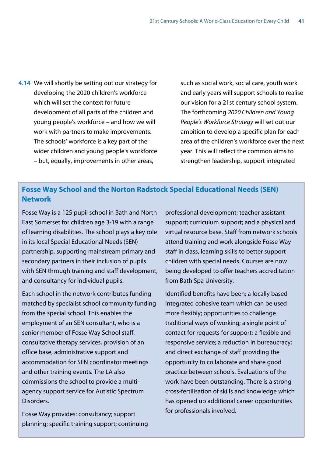**4.14** We will shortly be setting out our strategy for developing the 2020 children's workforce which will set the context for future development of all parts of the children and young people's workforce – and how we will work with partners to make improvements. The schools' workforce is a key part of the wider children and young people's workforce – but, equally, improvements in other areas,

such as social work, social care, youth work and early years will support schools to realise our vision for a 21st century school system. The forthcoming *2020 Children and Young People's Workforce Strategy* will set out our ambition to develop a specific plan for each area of the children's workforce over the next year. This will reflect the common aims to strengthen leadership, support integrated

## **Fosse Way School and the Norton Radstock Special Educational Needs (SEN) Network**

Fosse Way is a 125 pupil school in Bath and North East Somerset for children age 3-19 with a range of learning disabilities. The school plays a key role in its local Special Educational Needs (SEN) partnership, supporting mainstream primary and secondary partners in their inclusion of pupils with SEN through training and staff development, and consultancy for individual pupils.

Each school in the network contributes funding matched by specialist school community funding from the special school. This enables the employment of an SEN consultant, who is a senior member of Fosse Way School staff, consultative therapy services, provision of an office base, administrative support and accommodation for SEN coordinator meetings and other training events. The LA also commissions the school to provide a multiagency support service for Autistic Spectrum Disorders.

Fosse Way provides: consultancy; support planning; specific training support; continuing

professional development; teacher assistant support; curriculum support; and a physical and virtual resource base. Staff from network schools attend training and work alongside Fosse Way staff in class, learning skills to better support children with special needs. Courses are now being developed to offer teachers accreditation from Bath Spa University.

Identified benefits have been: a locally based integrated cohesive team which can be used more flexibly; opportunities to challenge traditional ways of working; a single point of contact for requests for support; a flexible and responsive service; a reduction in bureaucracy; and direct exchange of staff providing the opportunity to collaborate and share good practice between schools. Evaluations of the work have been outstanding. There is a strong cross-fertilisation of skills and knowledge which has opened up additional career opportunities for professionals involved.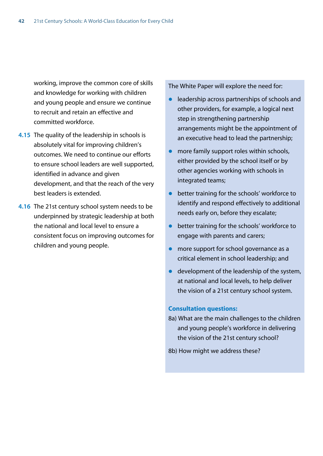working, improve the common core of skills and knowledge for working with children and young people and ensure we continue to recruit and retain an effective and committed workforce.

- **4.15** The quality of the leadership in schools is absolutely vital for improving children's outcomes. We need to continue our efforts to ensure school leaders are well supported, identified in advance and given development, and that the reach of the very best leaders is extended.
- **4.16** The 21st century school system needs to be underpinned by strategic leadership at both the national and local level to ensure a consistent focus on improving outcomes for children and young people.

The White Paper will explore the need for:

- $\bullet$  leadership across partnerships of schools and other providers, for example, a logical next step in strengthening partnership arrangements might be the appointment of an executive head to lead the partnership;
- $\bullet$  more family support roles within schools, either provided by the school itself or by other agencies working with schools in integrated teams;
- $\bullet$  better training for the schools' workforce to identify and respond effectively to additional needs early on, before they escalate;
- $\bullet$  better training for the schools' workforce to engage with parents and carers;
- more support for school governance as a critical element in school leadership; and
- $\bullet$  development of the leadership of the system, at national and local levels, to help deliver the vision of a 21st century school system.

#### **Consultation questions:**

- 8a) What are the main challenges to the children and young people's workforce in delivering the vision of the 21st century school?
- 8b) How might we address these?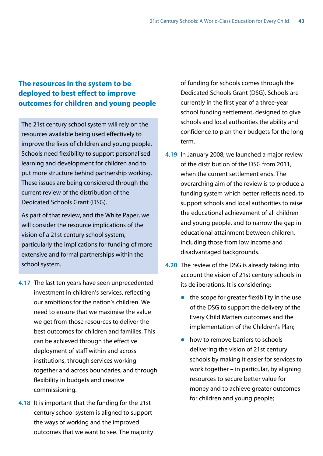## **The resources in the system to be deployed to best effect to improve outcomes for children and young people**

The 21st century school system will rely on the resources available being used effectively to improve the lives of children and young people. Schools need flexibility to support personalised learning and development for children and to put more structure behind partnership working. These issues are being considered through the current review of the distribution of the Dedicated Schools Grant (DSG).

As part of that review, and the White Paper, we will consider the resource implications of the vision of a 21st century school system, particularly the implications for funding of more extensive and formal partnerships within the school system.

- **4.17** The last ten years have seen unprecedented investment in children's services, reflecting our ambitions for the nation's children. We need to ensure that we maximise the value we get from those resources to deliver the best outcomes for children and families. This can be achieved through the effective deployment of staff within and across institutions, through services working together and across boundaries, and through flexibility in budgets and creative commissioning.
- **4.18** It is important that the funding for the 21st century school system is aligned to support the ways of working and the improved outcomes that we want to see. The majority

of funding for schools comes through the Dedicated Schools Grant (DSG). Schools are currently in the first year of a three-year school funding settlement, designed to give schools and local authorities the ability and confidence to plan their budgets for the long term.

- **4.19** In January 2008, we launched a major review of the distribution of the DSG from 2011, when the current settlement ends. The overarching aim of the review is to produce a funding system which better reflects need, to support schools and local authorities to raise the educational achievement of all children and young people, and to narrow the gap in educational attainment between children, including those from low income and disadvantaged backgrounds.
- **4.20** The review of the DSG is already taking into account the vision of 21st century schools in its deliberations. It is considering:
	- $\bullet$  the scope for greater flexibility in the use of the DSG to support the delivery of the Every Child Matters outcomes and the implementation of the Children's Plan;
	- $\bullet$  how to remove barriers to schools delivering the vision of 21st century schools by making it easier for services to work together – in particular, by aligning resources to secure better value for money and to achieve greater outcomes for children and young people;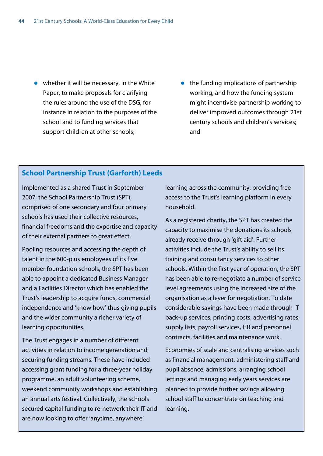- $\bullet$  whether it will be necessary, in the White Paper, to make proposals for clarifying the rules around the use of the DSG, for instance in relation to the purposes of the school and to funding services that support children at other schools;
- $\bullet$  the funding implications of partnership working, and how the funding system might incentivise partnership working to deliver improved outcomes through 21st century schools and children's services; and

#### **School Partnership Trust (Garforth) Leeds**

Implemented as a shared Trust in September 2007, the School Partnership Trust (SPT), comprised of one secondary and four primary schools has used their collective resources, financial freedoms and the expertise and capacity of their external partners to great effect.

Pooling resources and accessing the depth of talent in the 600-plus employees of its five member foundation schools, the SPT has been able to appoint a dedicated Business Manager and a Facilities Director which has enabled the Trust's leadership to acquire funds, commercial independence and 'know how' thus giving pupils and the wider community a richer variety of learning opportunities.

The Trust engages in a number of different activities in relation to income generation and securing funding streams. These have included accessing grant funding for a three-year holiday programme, an adult volunteering scheme, weekend community workshops and establishing an annual arts festival. Collectively, the schools secured capital funding to re-network their IT and are now looking to offer 'anytime, anywhere'

learning across the community, providing free access to the Trust's learning platform in every household.

As a registered charity, the SPT has created the capacity to maximise the donations its schools already receive through 'gift aid'. Further activities include the Trust's ability to sell its training and consultancy services to other schools. Within the first year of operation, the SPT has been able to re-negotiate a number of service level agreements using the increased size of the organisation as a lever for negotiation. To date considerable savings have been made through IT back-up services, printing costs, advertising rates, supply lists, payroll services, HR and personnel contracts, facilities and maintenance work.

Economies of scale and centralising services such as financial management, administering staff and pupil absence, admissions, arranging school lettings and managing early years services are planned to provide further savings allowing school staff to concentrate on teaching and learning.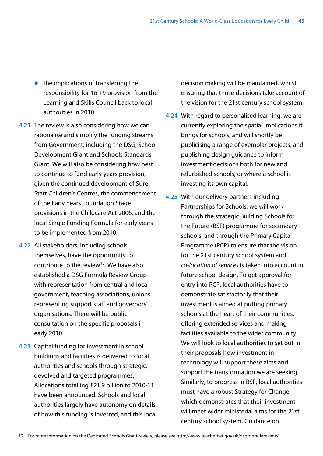- $\bullet$  the implications of transferring the responsibility for 16-19 provision from the Learning and Skills Council back to local authorities in 2010.
- **4.21** The review is also considering how we can rationalise and simplify the funding streams from Government, including the DSG, School Development Grant and Schools Standards Grant. We will also be considering how best to continue to fund early years provision, given the continued development of Sure Start Children's Centres, the commencement of the Early Years Foundation Stage provisions in the Childcare Act 2006, and the local Single Funding Formula for early years to be implemented from 2010.
- **4.22** All stakeholders, including schools themselves, have the opportunity to contribute to the review<sup>12</sup>. We have also established a DSG Formula Review Group with representation from central and local government, teaching associations, unions representing support staff and governors' organisations. There will be public consultation on the specific proposals in early 2010.
- **4.23** Capital funding for investment in school buildings and facilities is delivered to local authorities and schools through strategic, devolved and targeted programmes. Allocations totalling £21.9 billion to 2010-11 have been announced. Schools and local authorities largely have autonomy on details of how this funding is invested, and this local

decision making will be maintained, whilst ensuring that those decisions take account of the vision for the 21st century school system.

- **4.24** With regard to personalised learning, we are currently exploring the spatial implications it brings for schools, and will shortly be publicising a range of exemplar projects, and publishing design guidance to inform investment decisions both for new and refurbished schools, or where a school is investing its own capital.
- **4.25** With our delivery partners including Partnerships for Schools, we will work through the strategic Building Schools for the Future (BSF) programme for secondary schools, and through the Primary Capital Programme (PCP) to ensure that the vision for the 21st century school system and *co-location of services* is taken into account in future school design. To get approval for entry into PCP, local authorities have to demonstrate satisfactorily that their investment is aimed at putting primary schools at the heart of their communities, offering extended services and making facilities available to the wider community. We will look to local authorities to set out in their proposals how investment in technology will support these aims and support the transformation we are seeking. Similarly, to progress in BSF, local authorities must have a robust Strategy for Change which demonstrates that their investment will meet wider ministerial aims for the 21st century school system. Guidance on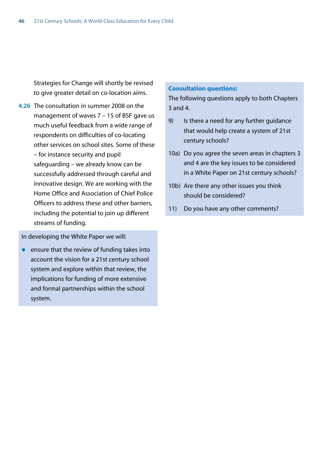Strategies for Change will shortly be revised to give greater detail on co-location aims.

**4.26** The consultation in summer 2008 on the management of waves 7 – 15 of BSF gave us much useful feedback from a wide range of respondents on difficulties of co-locating other services on school sites. Some of these – for instance security and pupil safeguarding – we already know can be successfully addressed through careful and innovative design. We are working with the Home Office and Association of Chief Police Officers to address these and other barriers, including the potential to join up different streams of funding.

In developing the White Paper we will:

 $\bullet$  ensure that the review of funding takes into account the vision for a 21st century school system and explore within that review, the implications for funding of more extensive and formal partnerships within the school system.

#### **Consultation questions:**

The following questions apply to both Chapters 3 and 4.

- 9) Is there a need for any further guidance that would help create a system of 21st century schools?
- 10a) Do you agree the seven areas in chapters 3 and 4 are the key issues to be considered in a White Paper on 21st century schools?
- 10b) Are there any other issues you think should be considered?
- 11) Do you have any other comments?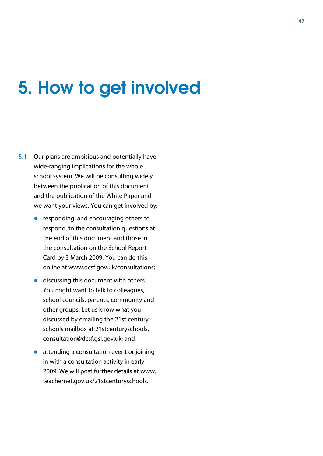## 5. How to get involved

- **5.1** Our plans are ambitious and potentially have wide-ranging implications for the whole school system. We will be consulting widely between the publication of this document and the publication of the White Paper and we want your views. You can get involved by:
	- $\bullet$  responding, and encouraging others to respond, to the consultation questions at the end of this document and those in the consultation on the School Report Card by 3 March 2009. You can do this online at www.dcsf.gov.uk/consultations;
	- $\bullet$  discussing this document with others. You might want to talk to colleagues, school councils, parents, community and other groups. Let us know what you discussed by emailing the 21st century schools mailbox at 21stcenturyschools. consultation@dcsf.gsi.gov.uk; and
	- $\bullet$  attending a consultation event or joining in with a consultation activity in early 2009. We will post further details at www. teachernet.gov.uk/21stcenturyschools.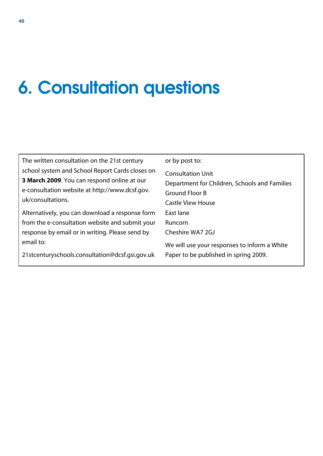## 6. Consultation questions

| The written consultation on the 21st century     | or by post to:                                |
|--------------------------------------------------|-----------------------------------------------|
| school system and School Report Cards closes on  | <b>Consultation Unit</b>                      |
| 3 March 2009. You can respond online at our      | Department for Children, Schools and Families |
| e-consultation website at http://www.dcsf.gov.   | Ground Floor B                                |
| uk/consultations.                                | <b>Castle View House</b>                      |
| Alternatively, you can download a response form  | East lane                                     |
| from the e-consultation website and submit your  | Runcorn                                       |
| response by email or in writing. Please send by  | Cheshire WA7 2GJ                              |
| email to:                                        | We will use your responses to inform a White  |
| 21 stcenturyschools.consultation@dcsf.gsi.gov.uk | Paper to be published in spring 2009.         |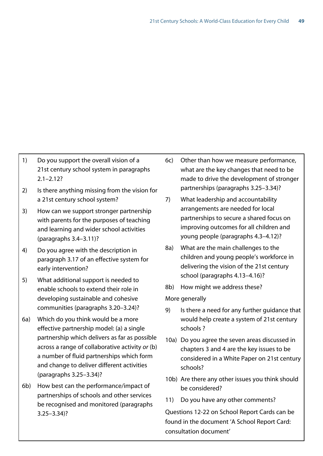- 1) Do you support the overall vision of a 21st century school system in paragraphs 2.1–2.12?
- 2) Is there anything missing from the vision for a 21st century school system?
- 3) How can we support stronger partnership with parents for the purposes of teaching and learning and wider school activities (paragraphs 3.4–3.11)?
- 4) Do you agree with the description in paragraph 3.17 of an effective system for early intervention?
- 5) What additional support is needed to enable schools to extend their role in developing sustainable and cohesive communities (paragraphs 3.20–3.24)?
- 6a) Which do you think would be a more effective partnership model: (a) a single partnership which delivers as far as possible across a range of collaborative activity *or* (b) a number of fluid partnerships which form and change to deliver different activities (paragraphs 3.25–3.34)?
- 6b) How best can the performance/impact of partnerships of schools and other services be recognised and monitored (paragraphs 3.25–3.34)?
- 6c) Other than how we measure performance, what are the key changes that need to be made to drive the development of stronger partnerships (paragraphs 3.25–3.34)?
- 7) What leadership and accountability arrangements are needed for local partnerships to secure a shared focus on improving outcomes for all children and young people (paragraphs 4.3–4.12)?
- 8a) What are the main challenges to the children and young people's workforce in delivering the vision of the 21st century school (paragraphs 4.13–4.16)?
- 8b) How might we address these?

More generally

- 9) Is there a need for any further guidance that would help create a system of 21st century schools ?
- 10a) Do you agree the seven areas discussed in chapters 3 and 4 are the key issues to be considered in a White Paper on 21st century schools?
- 10b) Are there any other issues you think should be considered?
- 11) Do you have any other comments?

Questions 12-22 on School Report Cards can be found in the document 'A School Report Card: consultation document'